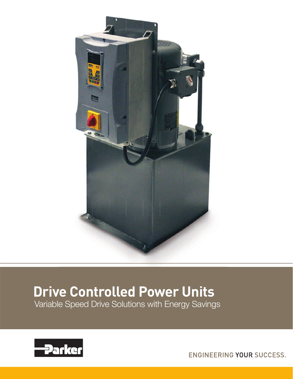

# **Drive Controlled Power Units**

Variable Speed Drive Solutions with Energy Savings



ENGINEERING YOUR SUCCESS.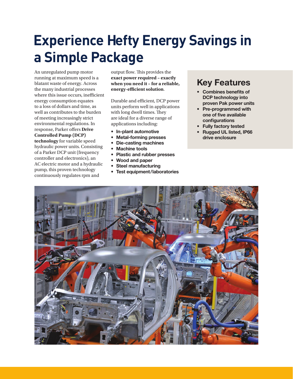# **Experience Hefty Energy Savings in a Simple Package**

An unregulated pump motor running at maximum speed is a blatant waste of energy. Across the many industrial processes where this issue occurs, inefficient energy consumption equates to a loss of dollars and time, as well as contributes to the burden of meeting increasingly strict environmental regulations. In response, Parker offers **Drive Controlled Pump (DCP) technology** for variable speed hydraulic power units. Consisting of a Parker DCP unit (frequency controller and electronics), an AC electric motor and a hydraulic pump, this proven technology continuously regulates rpm and

output flow. This provides the **exact power required – exactly when you need it – for a reliable, energy-efficient solution.** 

Durable and efficient, DCP power units perform well in applications with long dwell times. They are ideal for a diverse range of applications including:

- In-plant automotive
- Metal-forming presses
- Die-casting machines
- Machine tools
- Plastic and rubber presses
- Wood and paper
- Steel manufacturing
- Test equipment/laboratories

# Key Features

- Combines benefits of DCP technology into proven Pak power units
- Pre-programmed with one of five available configurations
- Fully factory tested
- Rugged UL listed, IP66 drive enclosure

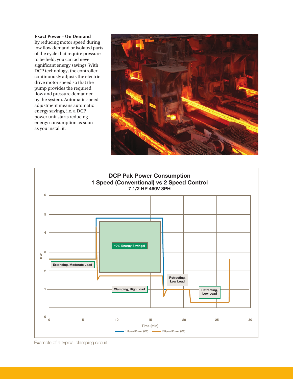#### **Exact Power – On Demand**

By reducing motor speed during low flow demand or isolated parts of the cycle that require pressure to be held, you can achieve significant energy savings. With DCP technology, the controller continuously adjusts the electric drive motor speed so that the pump provides the required flow and pressure demanded by the system. Automatic speed adjustment means automatic energy savings, i.e. a DCP power unit starts reducing energy consumption as soon as you install it.





Example of a typical clamping circuit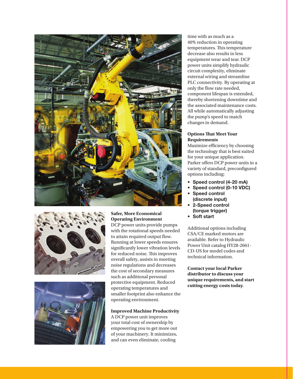





**Safer, More Economical Operating Environment** DCP power units provide pumps with the rotational speeds needed to attain required output flow. Running at lower speeds ensures significantly lower vibration levels for reduced noise. This improves overall safety, assists in meeting noise regulations and decreases the cost of secondary measures such as additional personal protective equipment. Reduced operating temperatures and smaller footprint also enhance the operating environment.

### **Improved Machine Productivity**

A DCP power unit improves your total cost of ownership by empowering you to get more out of your machinery. It minimizes, and can even eliminate, cooling

time with as much as a 40% reduction in operating temperatures. This temperature decrease also results in less equipment wear and tear. DCP power units simplify hydraulic circuit complexity, eliminate external wiring and streamline PLC connectivity. By operating at only the flow rate needed, component lifespan is extended, thereby shortening downtime and the associated maintenance costs. All while automatically adjusting the pump's speed to match changes in demand.

### **Options That Meet Your Requirements**

Maximize efficiency by choosing the technology that is best suited for your unique application. Parker offers DCP power units in a variety of standard, preconfigured options including:

- Speed control (4-20 mA)
- Speed control (0-10 VDC)
- Speed control (discrete input)
- 2-Speed control (torque trigger)
- Soft start

Additional options including CSA/CE marked motors are available. Refer to Hydraulic Power Unit catalog HY28-2661- CD-US for model codes and technical information.

**Contact your local Parker distributor to discuss your unique requirements, and start cutting energy costs today**.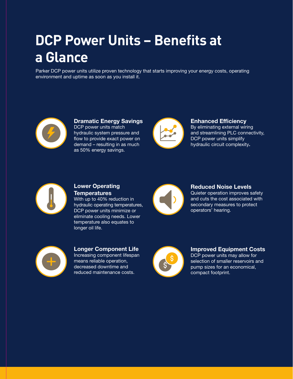# **DCP Power Units – Benefits at a Glance**

Parker DCP power units utilize proven technology that starts improving your energy costs, operating environment and uptime as soon as you install it.



Dramatic Energy Savings DCP power units match hydraulic system pressure and flow to provide exact power on demand – resulting in as much as 50% energy savings.



Enhanced Efficiency By eliminating external wiring and streamlining PLC connectivity, DCP power units simplify hydraulic circuit complexity.



## Lower Operating **Temperatures**

With up to 40% reduction in hydraulic operating temperatures, DCP power units minimize or eliminate cooling needs. Lower temperature also equates to longer oil life.



# Reduced Noise Levels

Quieter operation improves safety and cuts the cost associated with secondary measures to protect operators' hearing.



## Longer Component Life Increasing component lifespan means reliable operation, decreased downtime and reduced maintenance costs.



### Improved Equipment Costs DCP power units may allow for

selection of smaller reservoirs and pump sizes for an economical, compact footprint.